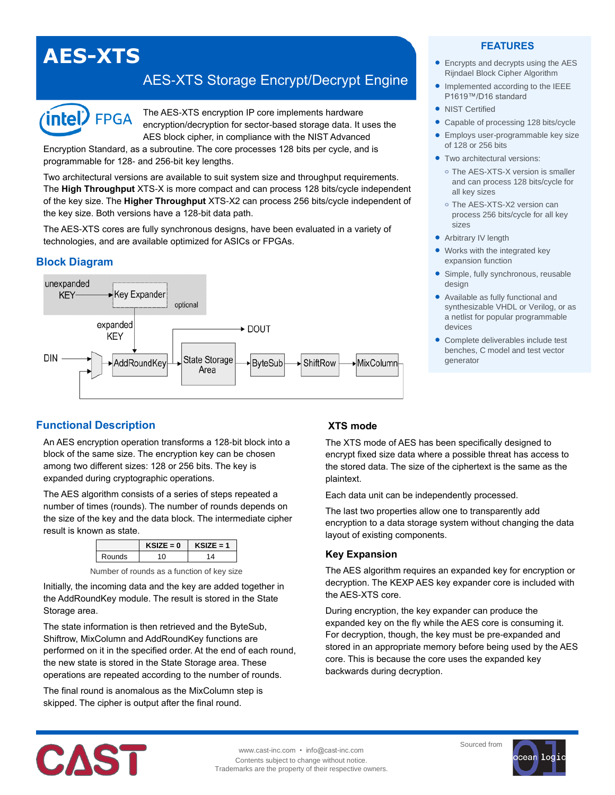# **AES-XTS**

# AES-XTS Storage Encrypt/Decrypt Engine



The AES-XTS encryption IP core implements hardware encryption/decryption for sector-based storage data. It uses the AES block cipher, in compliance with the NIST Advanced

Encryption Standard, as a subroutine. The core processes 128 bits per cycle, and is programmable for 128- and 256-bit key lengths.

Two architectural versions are available to suit system size and throughput requirements. The **High Throughput** XTS-X is more compact and can process 128 bits/cycle independent of the key size. The **Higher Throughput** XTS-X2 can process 256 bits/cycle independent of the key size. Both versions have a 128-bit data path.

The AES-XTS cores are fully synchronous designs, have been evaluated in a variety of technologies, and are available optimized for ASICs or FPGAs.

# **Block Diagram**



#### **FEATURES**

- Encrypts and decrypts using the AES Rijndael Block Cipher Algorithm
- Implemented according to the IEEE P1619™/D16 standard
- NIST Certified
- Capable of processing 128 bits/cycle
- **•** Employs user-programmable key size of 128 or 256 bits
- **Two architectural versions:** 
	- **o** The AES-XTS-X version is smaller and can process 128 bits/cycle for all key sizes
	- **o** The AES-XTS-X2 version can process 256 bits/cycle for all key sizes
- Arbitrary IV length
- Works with the integrated key expansion function
- Simple, fully synchronous, reusable design
- Available as fully functional and synthesizable VHDL or Verilog, or as a netlist for popular programmable devices
- Complete deliverables include test benches, C model and test vector generator

# **Functional Description**

An AES encryption operation transforms a 128-bit block into a block of the same size. The encryption key can be chosen among two different sizes: 128 or 256 bits. The key is expanded during cryptographic operations.

The AES algorithm consists of a series of steps repeated a number of times (rounds). The number of rounds depends on the size of the key and the data block. The intermediate cipher result is known as state.

|        | $KSIZE = 0$ | $\angle$ SIZE = 1 |
|--------|-------------|-------------------|
| Rounds |             |                   |

| Number of rounds as a function of key size |  |  |
|--------------------------------------------|--|--|
|--------------------------------------------|--|--|

Initially, the incoming data and the key are added together in the AddRoundKey module. The result is stored in the State Storage area.

The state information is then retrieved and the ByteSub, Shiftrow, MixColumn and AddRoundKey functions are performed on it in the specified order. At the end of each round, the new state is stored in the State Storage area. These operations are repeated according to the number of rounds.

The final round is anomalous as the MixColumn step is skipped. The cipher is output after the final round.

# **XTS mode**

The XTS mode of AES has been specifically designed to encrypt fixed size data where a possible threat has access to the stored data. The size of the ciphertext is the same as the plaintext.

Each data unit can be independently processed.

The last two properties allow one to transparently add encryption to a data storage system without changing the data layout of existing components.

# **Key Expansion**

The AES algorithm requires an expanded key for encryption or decryption. The KEXP AES key expander core is included with the AES-XTS core.

During encryption, the key expander can produce the expanded key on the fly while the AES core is consuming it. For decryption, though, the key must be pre-expanded and stored in an appropriate memory before being used by the AES core. This is because the core uses the expanded key backwards during decryption.



www.cast-inc.com • info@cast-inc.com Contents subject to change without notice. Trademarks are the property of their respective owners. Sourced from